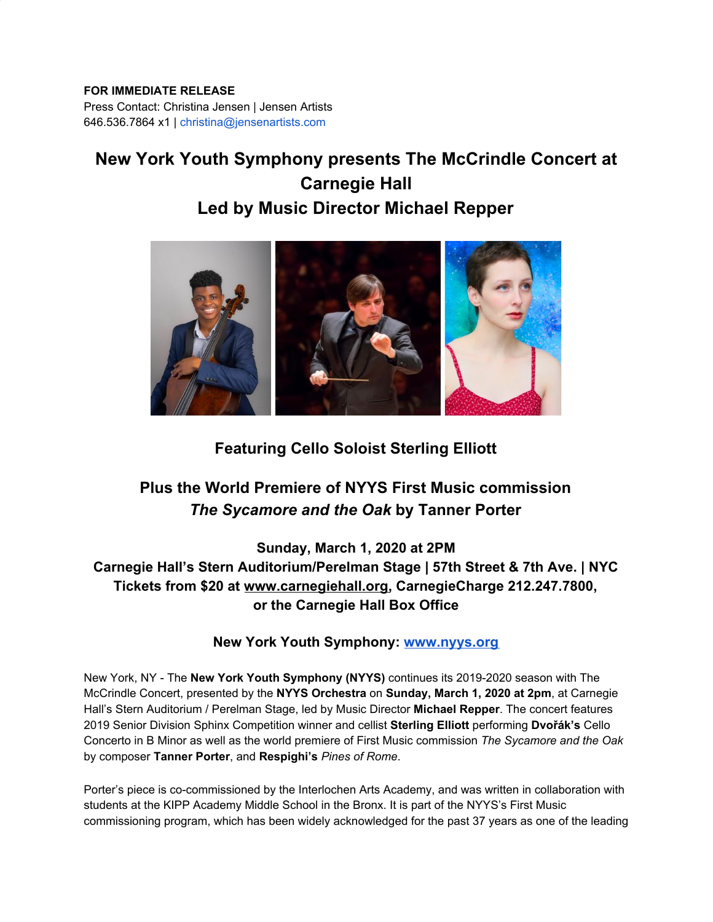## **FOR IMMEDIATE RELEASE**

Press Contact: Christina Jensen | Jensen Artists 646.536.7864 x1 | christina@jensenartists.com

# **New York Youth Symphony presents The McCrindle Concert at Carnegie Hall**

# **Led by Music Director Michael Repper**



# **Featuring Cello Soloist Sterling Elliott**

# **Plus the World Premiere of NYYS First Music commission** *The Sycamore and the Oak* **by Tanner Porter**

**Sunday, March 1, 2020 at 2PM Carnegie Hall's Stern Auditorium/Perelman Stage | 57th Street & 7th Ave. | NYC Tickets from \$20 at [www.carnegiehall.org,](https://u7061146.ct.sendgrid.net/wf/click?upn=84Em28S1K9SvtzcUtu04Ekrv5PPSFBrminXRa7rRcRZMmNkX7WQzjnPi-2BALIIMRn_DruDjhchMBr5xQkz3h1qcOnjZc-2BCsAVhraQ7DxYhbA2-2BHLQf-2BHKWaWi2FTM7QHo-2Fd7eCMDRMAhfd2mcWSs-2FpzNW9MmuPwV7rH-2FbDd7DdSSbN6WtnzdtpczzZYGBUh82PIaW82Ujzw9mjfrJhx5JA7tDLL7-2BC4ArAXyV-2BsoWmekED9l7GftRwv76ZEuZbCI1DTYH0K3oNyip4vtJxAsDZRrQjbuUjydD64Z5CsB-2BgHF6mV5pKHnphQJ2DjJFfS4gWarU6kaG6zqtxT-2FT402gKtLgaAIceVFNS-2FV3EniLbHUGsZoMdeJnHEXUcuhJwOGBx4NdsEIrHxUxOmQJdBGwoPuuvKExg3fyB1tDeqngkQNs-3D) CarnegieCharge 212.247.7800, or the Carnegie Hall Box Office**

## **New York Youth Symphony: [www.nyys.org](https://u7061146.ct.sendgrid.net/wf/click?upn=84Em28S1K9SvtzcUtu04EmkERfjPk-2FcypTCduYDQZvA-3D_DruDjhchMBr5xQkz3h1qcOnjZc-2BCsAVhraQ7DxYhbA2-2BHLQf-2BHKWaWi2FTM7QHo-2Fd7eCMDRMAhfd2mcWSs-2FpzNW9MmuPwV7rH-2FbDd7DdSSbN6WtnzdtpczzZYGBUh82PIaW82Ujzw9mjfrJhx5JA7tDLL7-2BC4ArAXyV-2BsoWmekED9l7GftRwv76ZEuZbCI1DTYH0K3oNyip4vtJxAsDZRuthFVBIHH7zCwuIddqCCXGUDn3Dl-2Fe3LN5r2Q-2F735A56ee1a-2FJA1c5-2F-2Bn-2F8erQfZNsouCFqxcQbHWzZgWHOsm26nLu48NxdF6GPTXi0f4Ie4naNuWJr4ETheMNfA4LWCvcL4AqBXSFHnsNDrRHWKKE-3D)**

New York, NY - The **New York Youth Symphony (NYYS)** continues its 2019-2020 season with The McCrindle Concert, presented by the **NYYS Orchestra** on **Sunday, March 1, 2020 at 2pm**, at Carnegie Hall's Stern Auditorium / Perelman Stage, led by Music Director **Michael Repper**. The concert features 2019 Senior Division Sphinx Competition winner and cellist **Sterling Elliott** performing **Dvořák's** Cello Concerto in B Minor as well as the world premiere of First Music commission *The Sycamore and the Oak* by composer **Tanner Porter**, and **Respighi's** *Pines of Rome*.

Porter's piece is co-commissioned by the Interlochen Arts Academy, and was written in collaboration with students at the KIPP Academy Middle School in the Bronx. It is part of the NYYS's First Music commissioning program, which has been widely acknowledged for the past 37 years as one of the leading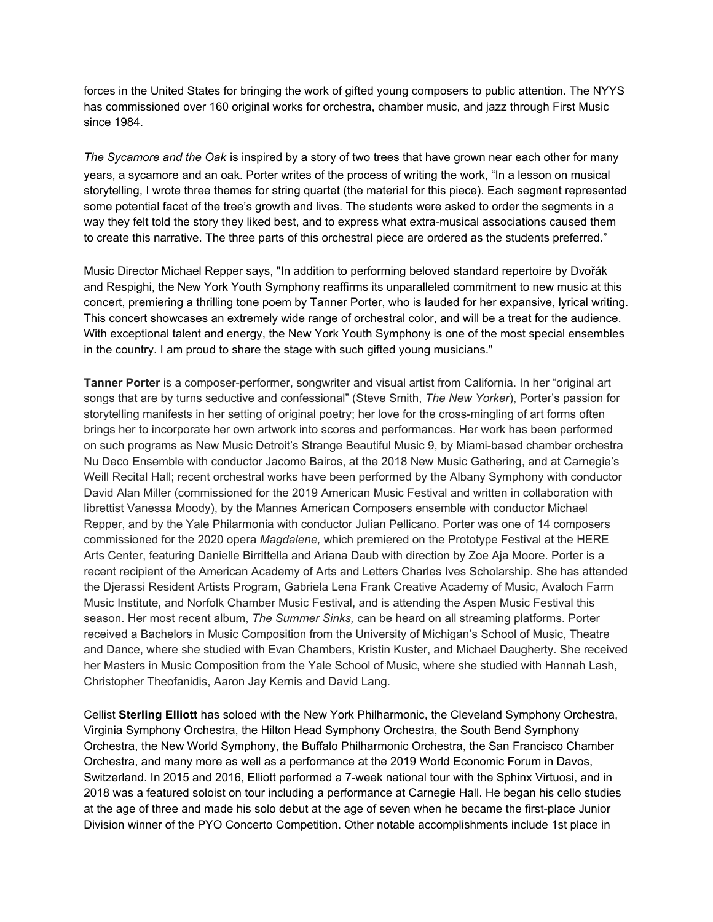forces in the United States for bringing the work of gifted young composers to public attention. The NYYS has commissioned over 160 original works for orchestra, chamber music, and jazz through First Music since 1984.

*The Sycamore and the Oak* is inspired by a story of two trees that have grown near each other for many years, a sycamore and an oak. Porter writes of the process of writing the work, "In a lesson on musical storytelling, I wrote three themes for string quartet (the material for this piece). Each segment represented some potential facet of the tree's growth and lives. The students were asked to order the segments in a way they felt told the story they liked best, and to express what extra-musical associations caused them to create this narrative. The three parts of this orchestral piece are ordered as the students preferred."

Music Director Michael Repper says, "In addition to performing beloved standard repertoire by Dvořák and Respighi, the New York Youth Symphony reaffirms its unparalleled commitment to new music at this concert, premiering a thrilling tone poem by Tanner Porter, who is lauded for her expansive, lyrical writing. This concert showcases an extremely wide range of orchestral color, and will be a treat for the audience. With exceptional talent and energy, the New York Youth Symphony is one of the most special ensembles in the country. I am proud to share the stage with such gifted young musicians."

**Tanner Porter** is a composer-performer, songwriter and visual artist from California. In her "original art songs that are by turns seductive and confessional" (Steve Smith, *The New Yorker*), Porter's passion for storytelling manifests in her setting of original poetry; her love for the cross-mingling of art forms often brings her to incorporate her own artwork into scores and performances. Her work has been performed on such programs as New Music Detroit's Strange Beautiful Music 9, by Miami-based chamber orchestra Nu Deco Ensemble with conductor Jacomo Bairos, at the 2018 New Music Gathering, and at Carnegie's Weill Recital Hall; recent orchestral works have been performed by the Albany Symphony with conductor David Alan Miller (commissioned for the 2019 American Music Festival and written in collaboration with librettist Vanessa Moody), by the Mannes American Composers ensemble with conductor Michael Repper, and by the Yale Philarmonia with conductor Julian Pellicano. Porter was one of 14 composers commissioned for the 2020 opera *Magdalene,* which premiered on the Prototype Festival at the HERE Arts Center, featuring Danielle Birrittella and Ariana Daub with direction by Zoe Aja Moore. Porter is a recent recipient of the American Academy of Arts and Letters Charles Ives Scholarship. She has attended the Djerassi Resident Artists Program, Gabriela Lena Frank Creative Academy of Music, Avaloch Farm Music Institute, and Norfolk Chamber Music Festival, and is attending the Aspen Music Festival this season. Her most recent album, *The Summer Sinks,* can be heard on all streaming platforms. Porter received a Bachelors in Music Composition from the University of Michigan's School of Music, Theatre and Dance, where she studied with Evan Chambers, Kristin Kuster, and Michael Daugherty. She received her Masters in Music Composition from the Yale School of Music, where she studied with Hannah Lash, Christopher Theofanidis, Aaron Jay Kernis and David Lang.

Cellist **Sterling Elliott** has soloed with the New York Philharmonic, the Cleveland Symphony Orchestra, Virginia Symphony Orchestra, the Hilton Head Symphony Orchestra, the South Bend Symphony Orchestra, the New World Symphony, the Buffalo Philharmonic Orchestra, the San Francisco Chamber Orchestra, and many more as well as a performance at the 2019 World Economic Forum in Davos, Switzerland. In 2015 and 2016, Elliott performed a 7-week national tour with the Sphinx Virtuosi, and in 2018 was a featured soloist on tour including a performance at Carnegie Hall. He began his cello studies at the age of three and made his solo debut at the age of seven when he became the first-place Junior Division winner of the PYO Concerto Competition. Other notable accomplishments include 1st place in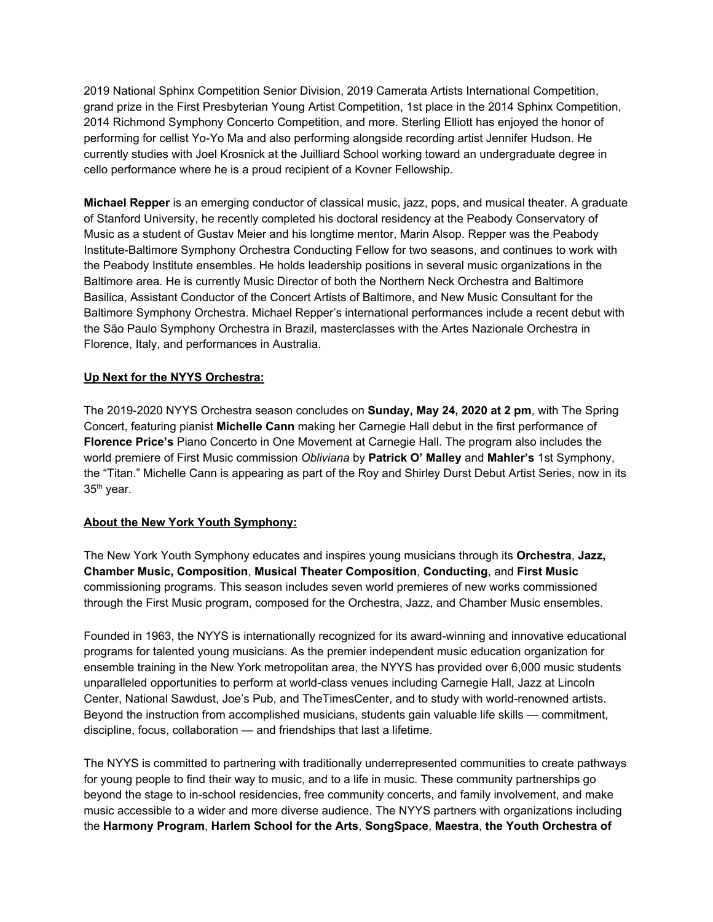2019 National Sphinx Competition Senior Division, 2019 Camerata Artists International Competition, grand prize in the First Presbyterian Young Artist Competition, 1st place in the 2014 Sphinx Competition, 2014 Richmond Symphony Concerto Competition, and more. Sterling Elliott has enjoyed the honor of performing for cellist Yo-Yo Ma and also performing alongside recording artist Jennifer Hudson. He currently studies with Joel Krosnick at the Juilliard School working toward an undergraduate degree in cello performance where he is a proud recipient of a Kovner Fellowship.

**Michael Repper** is an emerging conductor of classical music, jazz, pops, and musical theater. A graduate of Stanford University, he recently completed his doctoral residency at the Peabody Conservatory of Music as a student of Gustav Meier and his longtime mentor, Marin Alsop. Repper was the Peabody Institute-Baltimore Symphony Orchestra Conducting Fellow for two seasons, and continues to work with the Peabody Institute ensembles. He holds leadership positions in several music organizations in the Baltimore area. He is currently Music Director of both the Northern Neck Orchestra and Baltimore Basilica, Assistant Conductor of the Concert Artists of Baltimore, and New Music Consultant for the Baltimore Symphony Orchestra. Michael Repper's international performances include a recent debut with the São Paulo Symphony Orchestra in Brazil, masterclasses with the Artes Nazionale Orchestra in Florence, Italy, and performances in Australia.

#### **Up Next for the NYYS Orchestra:**

The 2019-2020 NYYS Orchestra season concludes on **Sunday, May 24, 2020 at 2 pm**, with The Spring Concert, featuring pianist **Michelle Cann** making her Carnegie Hall debut in the first performance of **Florence Price's** Piano Concerto in One Movement at Carnegie Hall. The program also includes the world premiere of First Music commission *Obliviana* by **Patrick O' Malley** and **Mahler's** 1st Symphony, the "Titan." Michelle Cann is appearing as part of the Roy and Shirley Durst Debut Artist Series, now in its 35<sup>th</sup> year.

#### **About the New York Youth Symphony:**

The New York Youth Symphony educates and inspires young musicians through its **Orchestra**, **Jazz, Chamber Music, Composition**, **Musical Theater Composition**, **Conducting**, and **First Music** commissioning programs. This season includes seven world premieres of new works commissioned through the First Music program, composed for the Orchestra, Jazz, and Chamber Music ensembles.

Founded in 1963, the NYYS is internationally recognized for its award-winning and innovative educational programs for talented young musicians. As the premier independent music education organization for ensemble training in the New York metropolitan area, the NYYS has provided over 6,000 music students unparalleled opportunities to perform at world-class venues including Carnegie Hall, Jazz at Lincoln Center, National Sawdust, Joe's Pub, and TheTimesCenter, and to study with world-renowned artists. Beyond the instruction from accomplished musicians, students gain valuable life skills — commitment, discipline, focus, collaboration — and friendships that last a lifetime.

The NYYS is committed to partnering with traditionally underrepresented communities to create pathways for young people to find their way to music, and to a life in music. These community partnerships go beyond the stage to in-school residencies, free community concerts, and family involvement, and make music accessible to a wider and more diverse audience. The NYYS partners with organizations including the **Harmony Program**, **Harlem School for the Arts**, **SongSpace**, **Maestra**, **the Youth Orchestra of**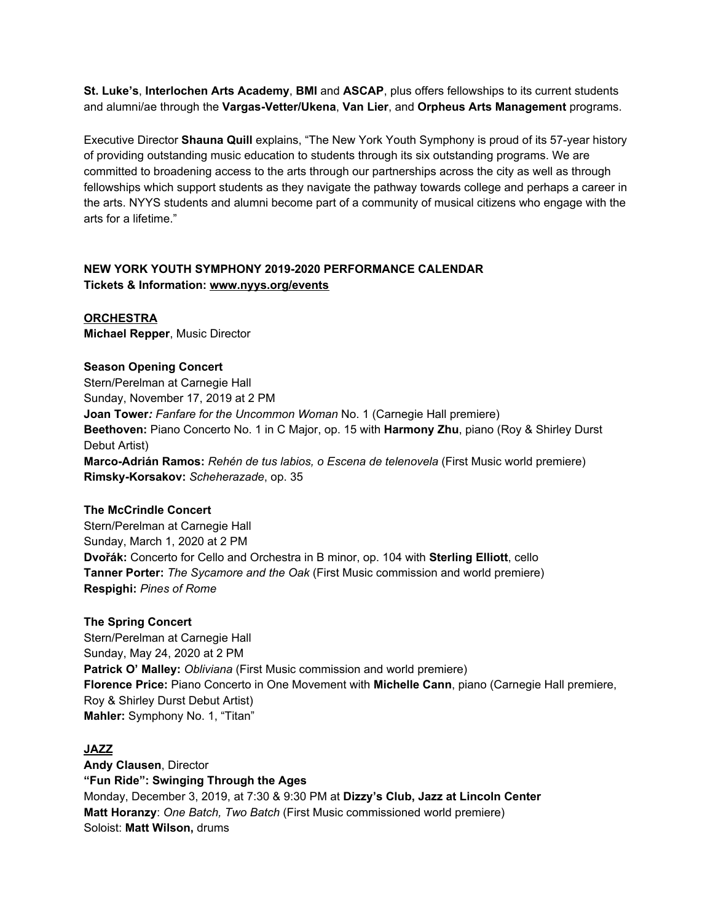**St. Luke's**, **Interlochen Arts Academy**, **BMI** and **ASCAP**, plus offers fellowships to its current students and alumni/ae through the **Vargas-Vetter/Ukena**, **Van Lier**, and **Orpheus Arts Management** programs.

Executive Director **Shauna Quill** explains, "The New York Youth Symphony is proud of its 57-year history of providing outstanding music education to students through its six outstanding programs. We are committed to broadening access to the arts through our partnerships across the city as well as through fellowships which support students as they navigate the pathway towards college and perhaps a career in the arts. NYYS students and alumni become part of a community of musical citizens who engage with the arts for a lifetime."

#### **NEW YORK YOUTH SYMPHONY 2019-2020 PERFORMANCE CALENDAR Tickets & Information: [www.nyys.org/events](https://u7061146.ct.sendgrid.net/wf/click?upn=84Em28S1K9SvtzcUtu04EvrLdhrhz0RQ6YNkHwQNHxWFJGJNK3QN28wLTPw3yGLi_DruDjhchMBr5xQkz3h1qcOnjZc-2BCsAVhraQ7DxYhbA2-2BHLQf-2BHKWaWi2FTM7QHo-2Fd7eCMDRMAhfd2mcWSs-2FpzNW9MmuPwV7rH-2FbDd7DdSSbN6WtnzdtpczzZYGBUh82PIaW82Ujzw9mjfrJhx5JA7tDLL7-2BC4ArAXyV-2BsoWmekED9l7GftRwv76ZEuZbCI1DTYH0K3oNyip4vtJxAsDZRk7FxBUty6ZOVBtgHFHe7YQ-2BcOfDYTxmY9kZIs1Rs1uwWQVE3kYpD2Gjv5QIA3YjkMaLcLbLmckDONORf3JB6br61e-2BY9N-2F1rlADwKOv2vkwCQTiAQLs3MzkzZIvtfI5BKPp77AY0JdZlBQvAaxa2Ks-3D)**

**ORCHESTRA Michael Repper**, Music Director

### **Season Opening Concert** Stern/Perelman at Carnegie Hall Sunday, November 17, 2019 at 2 PM **Joan Tower***: Fanfare for the Uncommon Woman* No. 1 (Carnegie Hall premiere) **Beethoven:** Piano Concerto No. 1 in C Major, op. 15 with **Harmony Zhu**, piano (Roy & Shirley Durst Debut Artist) **Marco-Adrián Ramos:** *Rehén de tus labios, o Escena de telenovela* (First Music world premiere) **Rimsky-Korsakov:** *Scheherazade*, op. 35

#### **The McCrindle Concert**

Stern/Perelman at Carnegie Hall Sunday, March 1, 2020 at 2 PM **Dvořák:** Concerto for Cello and Orchestra in B minor, op. 104 with **Sterling Elliott**, cello **Tanner Porter:** *The Sycamore and the Oak* (First Music commission and world premiere) **Respighi:** *Pines of Rome*

#### **The Spring Concert**

Stern/Perelman at Carnegie Hall Sunday, May 24, 2020 at 2 PM **Patrick O' Malley:** *Obliviana* (First Music commission and world premiere) **Florence Price:** Piano Concerto in One Movement with **Michelle Cann**, piano (Carnegie Hall premiere, Roy & Shirley Durst Debut Artist) **Mahler:** Symphony No. 1, "Titan"

#### **JAZZ**

**Andy Clausen**, Director **"Fun Ride": Swinging Through the Ages** Monday, December 3, 2019, at 7:30 & 9:30 PM at **Dizzy's Club, Jazz at Lincoln Center Matt Horanzy**: *One Batch, Two Batch* (First Music commissioned world premiere) Soloist: **Matt Wilson,** drums